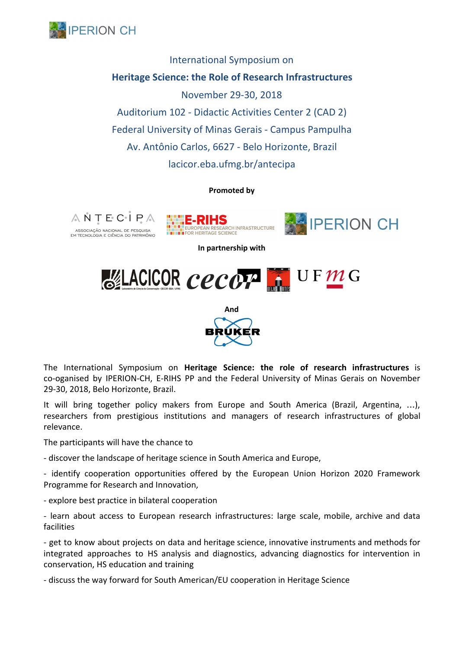

International Symposium on **Heritage Science: the Role of Research Infrastructures** November 29-30, 2018 Auditorium 102 - Didactic Activities Center 2 (CAD 2) Federal University of Minas Gerais - Campus Pampulha Av. Antônio Carlos, 6627 - Belo Horizonte, Brazil lacicor.eba.ufmg.br/antecipa

#### **Promoted by**







**In partnership with**



**And**

The International Symposium on **Heritage Science: the role of research infrastructures** is co-oganised by IPERION-CH, E-RIHS PP and the Federal University of Minas Gerais on November 29-30, 2018, Belo Horizonte, Brazil.

It will bring together policy makers from Europe and South America (Brazil, Argentina, …), researchers from prestigious institutions and managers of research infrastructures of global relevance.

The participants will have the chance to

- discover the landscape of heritage science in South America and Europe,

- identify cooperation opportunities offered by the European Union Horizon 2020 Framework Programme for Research and Innovation,

- explore best practice in bilateral cooperation

- learn about access to European research infrastructures: large scale, mobile, archive and data facilities

- get to know about projects on data and heritage science, innovative instruments and methods for integrated approaches to HS analysis and diagnostics, advancing diagnostics for intervention in conservation, HS education and training

- discuss the way forward for South American/EU cooperation in Heritage Science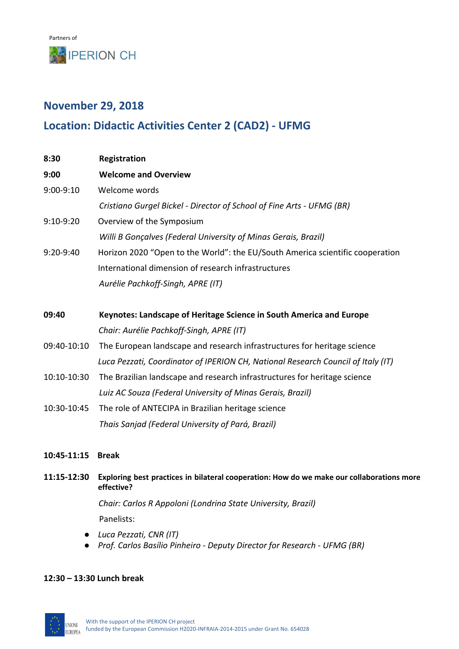# **November 29, 2018**

# **Location: Didactic Activities Center 2 (CAD2) - UFMG**

| 8:30        | Registration                                                                     |
|-------------|----------------------------------------------------------------------------------|
| 9:00        | <b>Welcome and Overview</b>                                                      |
| 9:00-9:10   | Welcome words                                                                    |
|             | Cristiano Gurgel Bickel - Director of School of Fine Arts - UFMG (BR)            |
| 9:10-9:20   | Overview of the Symposium                                                        |
|             | Willi B Gonçalves (Federal University of Minas Gerais, Brazil)                   |
| 9:20-9:40   | Horizon 2020 "Open to the World": the EU/South America scientific cooperation    |
|             | International dimension of research infrastructures                              |
|             | Aurélie Pachkoff-Singh, APRE (IT)                                                |
|             |                                                                                  |
| 09:40       | Keynotes: Landscape of Heritage Science in South America and Europe              |
|             | Chair: Aurélie Pachkoff-Singh, APRE (IT)                                         |
| 09:40-10:10 | The European landscape and research infrastructures for heritage science         |
|             | Luca Pezzati, Coordinator of IPERION CH, National Research Council of Italy (IT) |
| 10:10-10:30 | The Brazilian landscape and research infrastructures for heritage science        |
|             | Luiz AC Souza (Federal University of Minas Gerais, Brazil)                       |
| 10:30-10:45 | The role of ANTECIPA in Brazilian heritage science                               |
|             | Thais Sanjad (Federal University of Pará, Brazil)                                |
|             |                                                                                  |

- **10:45-11:15 Break**
- **11:15-12:30 Exploring best practices in bilateral cooperation: How do we make our collaborations more effective?**

*Chair: Carlos R Appoloni (Londrina State University, Brazil)* Panelists:

- *● Luca Pezzati, CNR (IT)*
- *● Prof. Carlos Basílio Pinheiro Deputy Director for Research UFMG (BR)*

## **12:30 – 13:30 Lunch break**

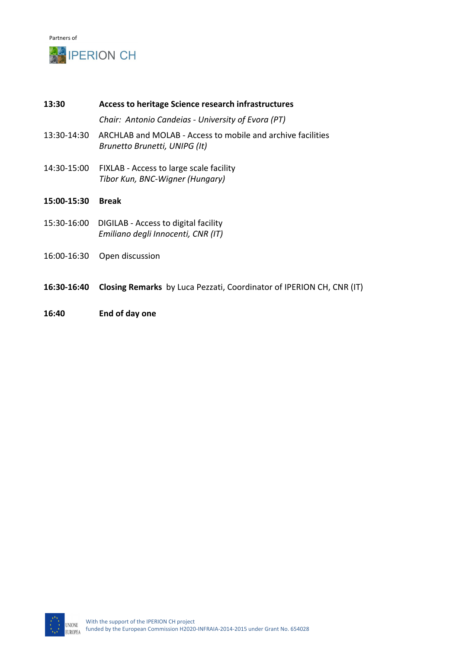

**13:30 Access to heritage Science research infrastructures** *Chair: Antonio Candeias - University of Evora (PT)* 13:30-14:30 ARCHLAB and MOLAB - Access to mobile and archive facilities *Brunetto Brunetti, UNIPG (It)* 14:30-15:00 FIXLAB - Access to large scale facility *Tibor Kun, BNC-Wigner (Hungary)* **15:00-15:30 Break** 15:30-16:00 DIGILAB - Access to digital facility *Emiliano degli Innocenti, CNR (IT)* 16:00-16:30 Open discussion

- **16:30-16:40 Closing Remarks** by Luca Pezzati, Coordinator of IPERION CH, CNR (IT)
- **16:40 End of day one**

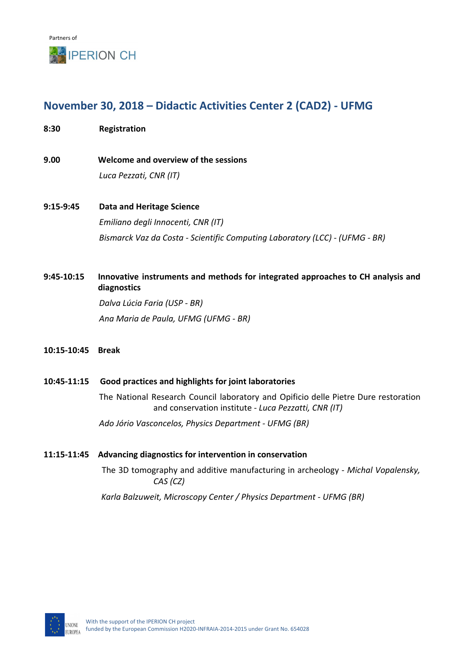# **November 30, 2018 – Didactic Activities Center 2 (CAD2) - UFMG**

**8:30 Registration**

**9.00 Welcome and overview of the sessions** *Luca Pezzati, CNR (IT)*

**9:15-9:45 Data and Heritage Science** *Emiliano degli Innocenti, CNR (IT) Bismarck Vaz da Costa - Scientific Computing Laboratory (LCC) - (UFMG - BR)*

## **9:45-10:15 Innovative instruments and methods for integrated approaches to CH analysis and diagnostics**

*Dalva Lúcia Faria (USP - BR) Ana Maria de Paula, UFMG (UFMG - BR)*

**10:15-10:45 Break**

## **10:45-11:15 Good practices and highlights for joint laboratories**

The National Research Council laboratory and Opificio delle Pietre Dure restoration and conservation institute - *Luca Pezzatti, CNR (IT)*

*Ado Jório Vasconcelos, Physics Department - UFMG (BR)*

## **11:15-11:45 Advancing diagnostics for intervention in conservation**

The 3D tomography and additive manufacturing in archeology - *Michal Vopalensky, CAS (CZ)*

*Karla Balzuweit, Microscopy Center / Physics Department - UFMG (BR)*